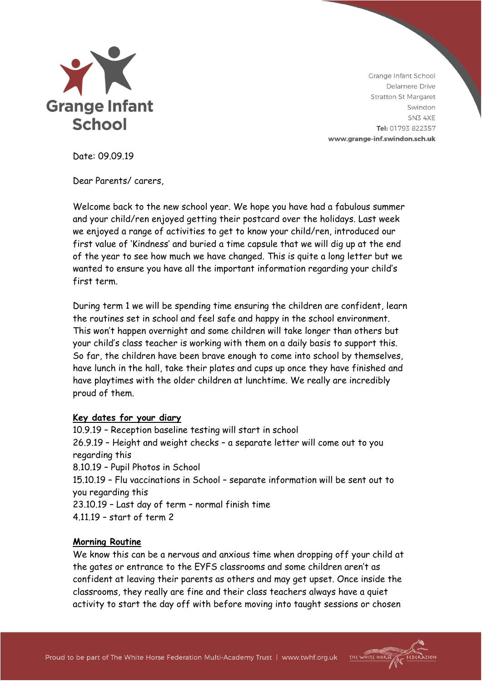

THE WHITE HORS

Date: 09.09.19

Dear Parents/ carers,

Welcome back to the new school year. We hope you have had a fabulous summer and your child/ren enjoyed getting their postcard over the holidays. Last week we enjoyed a range of activities to get to know your child/ren, introduced our first value of 'Kindness' and buried a time capsule that we will dig up at the end of the year to see how much we have changed. This is quite a long letter but we wanted to ensure you have all the important information regarding your child's first term.

During term 1 we will be spending time ensuring the children are confident, learn the routines set in school and feel safe and happy in the school environment. This won't happen overnight and some children will take longer than others but your child's class teacher is working with them on a daily basis to support this. So far, the children have been brave enough to come into school by themselves, have lunch in the hall, take their plates and cups up once they have finished and have playtimes with the older children at lunchtime. We really are incredibly proud of them.

### **Key dates for your diary**

10.9.19 – Reception baseline testing will start in school 26.9.19 – Height and weight checks – a separate letter will come out to you regarding this 8.10.19 – Pupil Photos in School 15.10.19 – Flu vaccinations in School – separate information will be sent out to you regarding this 23.10.19 – Last day of term – normal finish time 4.11.19 – start of term 2

# **Morning Routine**

We know this can be a nervous and anxious time when dropping off your child at the gates or entrance to the EYFS classrooms and some children aren't as confident at leaving their parents as others and may get upset. Once inside the classrooms, they really are fine and their class teachers always have a quiet activity to start the day off with before moving into taught sessions or chosen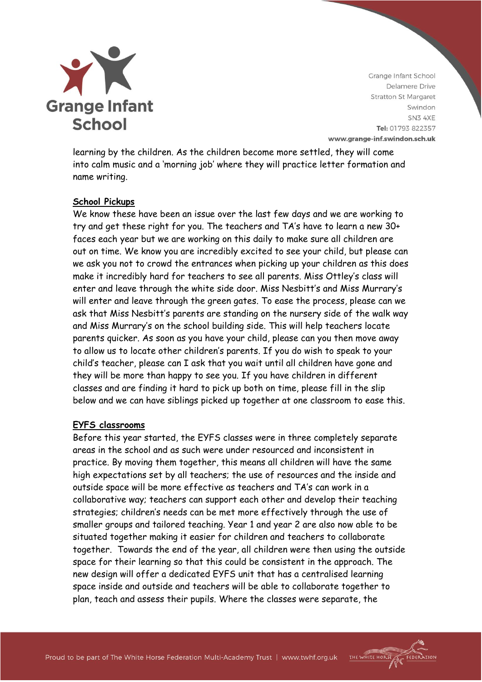

THE WHITE HORSE

learning by the children. As the children become more settled, they will come into calm music and a 'morning job' where they will practice letter formation and name writing.

# **School Pickups**

We know these have been an issue over the last few days and we are working to try and get these right for you. The teachers and TA's have to learn a new 30+ faces each year but we are working on this daily to make sure all children are out on time. We know you are incredibly excited to see your child, but please can we ask you not to crowd the entrances when picking up your children as this does make it incredibly hard for teachers to see all parents. Miss Ottley's class will enter and leave through the white side door. Miss Nesbitt's and Miss Murrary's will enter and leave through the green gates. To ease the process, please can we ask that Miss Nesbitt's parents are standing on the nursery side of the walk way and Miss Murrary's on the school building side. This will help teachers locate parents quicker. As soon as you have your child, please can you then move away to allow us to locate other children's parents. If you do wish to speak to your child's teacher, please can I ask that you wait until all children have gone and they will be more than happy to see you. If you have children in different classes and are finding it hard to pick up both on time, please fill in the slip below and we can have siblings picked up together at one classroom to ease this.

### **EYFS classrooms**

Before this year started, the EYFS classes were in three completely separate areas in the school and as such were under resourced and inconsistent in practice. By moving them together, this means all children will have the same high expectations set by all teachers; the use of resources and the inside and outside space will be more effective as teachers and TA's can work in a collaborative way; teachers can support each other and develop their teaching strategies; children's needs can be met more effectively through the use of smaller groups and tailored teaching. Year 1 and year 2 are also now able to be situated together making it easier for children and teachers to collaborate together. Towards the end of the year, all children were then using the outside space for their learning so that this could be consistent in the approach. The new design will offer a dedicated EYFS unit that has a centralised learning space inside and outside and teachers will be able to collaborate together to plan, teach and assess their pupils. Where the classes were separate, the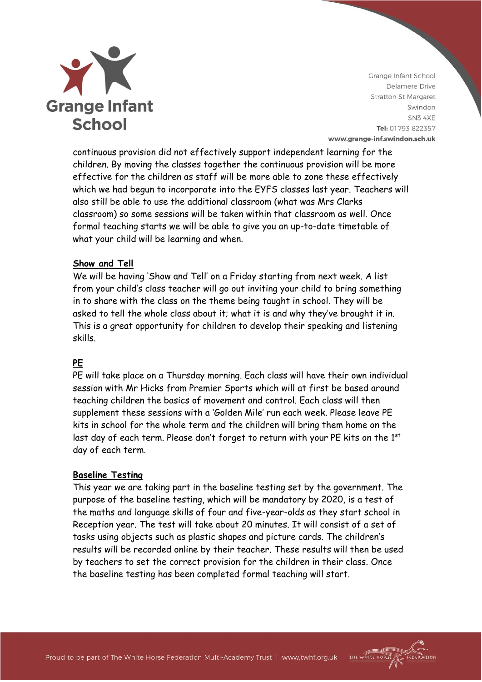

continuous provision did not effectively support independent learning for the children. By moving the classes together the continuous provision will be more effective for the children as staff will be more able to zone these effectively which we had begun to incorporate into the EYFS classes last year. Teachers will also still be able to use the additional classroom (what was Mrs Clarks classroom) so some sessions will be taken within that classroom as well. Once formal teaching starts we will be able to give you an up-to-date timetable of what your child will be learning and when.

# **Show and Tell**

We will be having 'Show and Tell' on a Friday starting from next week. A list from your child's class teacher will go out inviting your child to bring something in to share with the class on the theme being taught in school. They will be asked to tell the whole class about it; what it is and why they've brought it in. This is a great opportunity for children to develop their speaking and listening skills.

# **PE**

PE will take place on a Thursday morning. Each class will have their own individual session with Mr Hicks from Premier Sports which will at first be based around teaching children the basics of movement and control. Each class will then supplement these sessions with a 'Golden Mile' run each week. Please leave PE kits in school for the whole term and the children will bring them home on the last day of each term. Please don't forget to return with your PE kits on the 1st day of each term.

# **Baseline Testing**

This year we are taking part in the baseline testing set by the government. The purpose of the baseline testing, which will be mandatory by 2020, is a test of the maths and language skills of four and five-year-olds as they start school in Reception year. The test will take about 20 minutes. It will consist of a set of tasks using objects such as plastic shapes and picture cards. The children's results will be recorded online by their teacher. These results will then be used by teachers to set the correct provision for the children in their class. Once the baseline testing has been completed formal teaching will start.

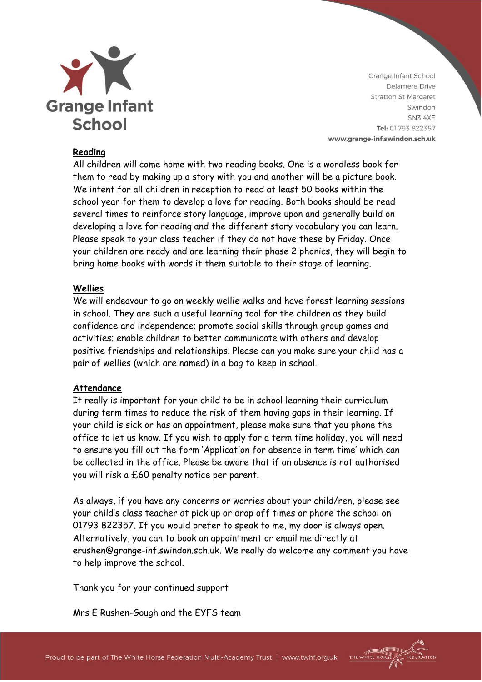

## **Reading**

All children will come home with two reading books. One is a wordless book for them to read by making up a story with you and another will be a picture book. We intent for all children in reception to read at least 50 books within the school year for them to develop a love for reading. Both books should be read several times to reinforce story language, improve upon and generally build on developing a love for reading and the different story vocabulary you can learn. Please speak to your class teacher if they do not have these by Friday. Once your children are ready and are learning their phase 2 phonics, they will begin to bring home books with words it them suitable to their stage of learning.

### **Wellies**

We will endeavour to go on weekly wellie walks and have forest learning sessions in school. They are such a useful learning tool for the children as they build confidence and independence; promote social skills through group games and activities; enable children to better communicate with others and develop positive friendships and relationships. Please can you make sure your child has a pair of wellies (which are named) in a bag to keep in school.

### **Attendance**

It really is important for your child to be in school learning their curriculum during term times to reduce the risk of them having gaps in their learning. If your child is sick or has an appointment, please make sure that you phone the office to let us know. If you wish to apply for a term time holiday, you will need to ensure you fill out the form 'Application for absence in term time' which can be collected in the office. Please be aware that if an absence is not authorised you will risk a £60 penalty notice per parent.

As always, if you have any concerns or worries about your child/ren, please see your child's class teacher at pick up or drop off times or phone the school on 01793 822357. If you would prefer to speak to me, my door is always open. Alternatively, you can to book an appointment or email me directly at erushen@grange-inf.swindon.sch.uk. We really do welcome any comment you have to help improve the school.

Thank you for your continued support

Mrs E Rushen-Gough and the EYFS team